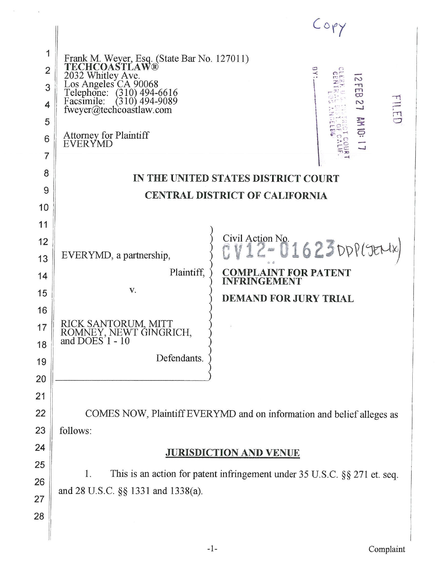| 1              |                                                                                                                                              |
|----------------|----------------------------------------------------------------------------------------------------------------------------------------------|
| $\overline{2}$ | Frank M. Weyer, Esq. (State Bar No. 127011)<br>TECHCOASTLAW®                                                                                 |
| 3              | 1 ECHCOAM 1202<br>2032 Whitley Ave.<br>Los Angeles CA 90068<br>Telephone: (310) 494-6616<br>Facsimile: (310) 494-9089<br>N<br>$\frac{1}{12}$ |
| 4              | HILED<br>$\overline{\mathcal{C}}$<br>fweyer@techcoastlaw.com                                                                                 |
| 5              |                                                                                                                                              |
| 6              | AM 10: 17<br><b>Attorney for Plaintiff</b><br>EVERYMD                                                                                        |
| 7              |                                                                                                                                              |
| 8              | IN THE UNITED STATES DISTRICT COURT                                                                                                          |
| 9              | <b>CENTRAL DISTRICT OF CALIFORNIA</b>                                                                                                        |
| 10<br>11       |                                                                                                                                              |
| 12             | Civil Action No.                                                                                                                             |
| 13             | $22 - 0.1623$ DPP(JENK)<br>EVERYMD, a partnership,                                                                                           |
| 14             | Plaintiff,<br><b>COMPLAINT FOR PATENT</b>                                                                                                    |
| 15             | <b>INFRINGEMENT</b><br>V.<br><b>DEMAND FOR JURY TRIAL</b>                                                                                    |
| 16             |                                                                                                                                              |
| 17             | RICK SANTORUM, MITT<br>ROMNEY, NEWT GINGRICH,<br>and DOES 1 - 10                                                                             |
| 18             |                                                                                                                                              |
| 19             | Defendants.                                                                                                                                  |
| 20             |                                                                                                                                              |
| 21             |                                                                                                                                              |
| 22             | COMES NOW, Plaintiff EVERYMD and on information and belief alleges as                                                                        |
| 23             | follows:                                                                                                                                     |
| 24             | <b>JURISDICTION AND VENUE</b>                                                                                                                |
| 25<br>26       | This is an action for patent infringement under 35 U.S.C. §§ 271 et. seq.<br>1.                                                              |
| 27             | and 28 U.S.C. §§ 1331 and 1338(a).                                                                                                           |
| 28             |                                                                                                                                              |
|                |                                                                                                                                              |
|                |                                                                                                                                              |

 $\alpha$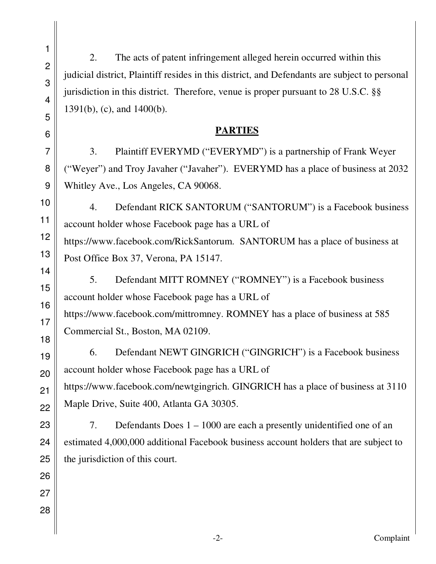2. The acts of patent infringement alleged herein occurred within this judicial district, Plaintiff resides in this district, and Defendants are subject to personal jurisdiction in this district. Therefore, venue is proper pursuant to 28 U.S.C. §§ 1391(b), (c), and 1400(b).

## **PARTIES**

 3. Plaintiff EVERYMD ("EVERYMD") is a partnership of Frank Weyer ("Weyer") and Troy Javaher ("Javaher"). EVERYMD has a place of business at 2032 Whitley Ave., Los Angeles, CA 90068.

 4. Defendant RICK SANTORUM ("SANTORUM") is a Facebook business account holder whose Facebook page has a URL of https://www.facebook.com/RickSantorum. SANTORUM has a place of business at Post Office Box 37, Verona, PA 15147.

5. Defendant MITT ROMNEY ("ROMNEY") is a Facebook business account holder whose Facebook page has a URL of https://www.facebook.com/mittromney. ROMNEY has a place of business at 585 Commercial St., Boston, MA 02109.

6. Defendant NEWT GINGRICH ("GINGRICH") is a Facebook business account holder whose Facebook page has a URL of https://www.facebook.com/newtgingrich. GINGRICH has a place of business at 3110 Maple Drive, Suite 400, Atlanta GA 30305.

7. Defendants Does 1 – 1000 are each a presently unidentified one of an estimated 4,000,000 additional Facebook business account holders that are subject to the jurisdiction of this court.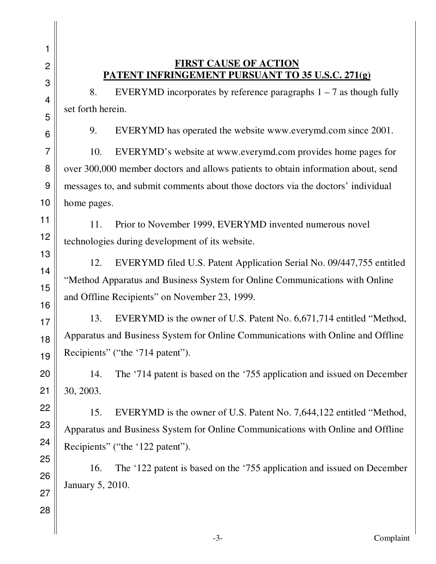## **FIRST CAUSE OF ACTION PATENT INFRINGEMENT PURSUANT TO 35 U.S.C. 271(g)**

8. EVERYMD incorporates by reference paragraphs  $1 - 7$  as though fully set forth herein.

9. EVERYMD has operated the website www.everymd.com since 2001.

 10. EVERYMD's website at www.everymd.com provides home pages for over 300,000 member doctors and allows patients to obtain information about, send messages to, and submit comments about those doctors via the doctors' individual home pages.

 11. Prior to November 1999, EVERYMD invented numerous novel technologies during development of its website.

12. EVERYMD filed U.S. Patent Application Serial No. 09/447,755 entitled "Method Apparatus and Business System for Online Communications with Online and Offline Recipients" on November 23, 1999.

13. EVERYMD is the owner of U.S. Patent No. 6,671,714 entitled "Method, Apparatus and Business System for Online Communications with Online and Offline Recipients" ("the '714 patent").

14. The '714 patent is based on the '755 application and issued on December 30, 2003.

15. EVERYMD is the owner of U.S. Patent No. 7,644,122 entitled "Method, Apparatus and Business System for Online Communications with Online and Offline Recipients" ("the '122 patent").

16. The '122 patent is based on the '755 application and issued on December January 5, 2010.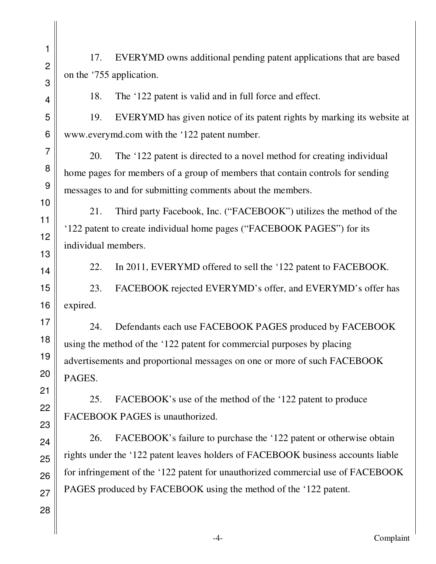17. EVERYMD owns additional pending patent applications that are based on the '755 application.

18. The '122 patent is valid and in full force and effect.

 19. EVERYMD has given notice of its patent rights by marking its website at www.everymd.com with the '122 patent number.

20. The '122 patent is directed to a novel method for creating individual home pages for members of a group of members that contain controls for sending messages to and for submitting comments about the members.

 21. Third party Facebook, Inc. ("FACEBOOK") utilizes the method of the '122 patent to create individual home pages ("FACEBOOK PAGES") for its individual members.

22. In 2011, EVERYMD offered to sell the '122 patent to FACEBOOK.

 23. FACEBOOK rejected EVERYMD's offer, and EVERYMD's offer has expired.

 24. Defendants each use FACEBOOK PAGES produced by FACEBOOK using the method of the '122 patent for commercial purposes by placing advertisements and proportional messages on one or more of such FACEBOOK PAGES.

 25. FACEBOOK's use of the method of the '122 patent to produce FACEBOOK PAGES is unauthorized.

 26. FACEBOOK's failure to purchase the '122 patent or otherwise obtain rights under the '122 patent leaves holders of FACEBOOK business accounts liable for infringement of the '122 patent for unauthorized commercial use of FACEBOOK PAGES produced by FACEBOOK using the method of the '122 patent.

1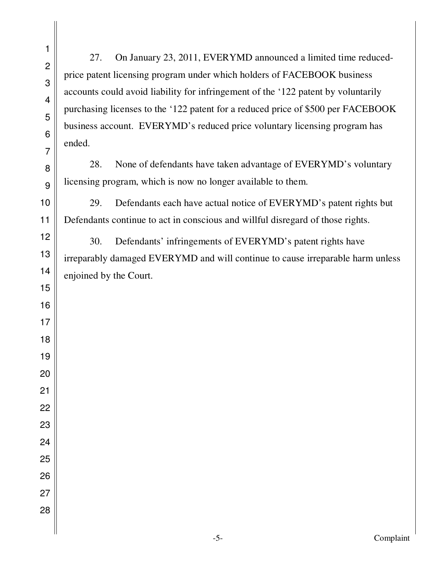27. On January 23, 2011, EVERYMD announced a limited time reducedprice patent licensing program under which holders of FACEBOOK business accounts could avoid liability for infringement of the '122 patent by voluntarily purchasing licenses to the '122 patent for a reduced price of \$500 per FACEBOOK business account. EVERYMD's reduced price voluntary licensing program has ended.

 28. None of defendants have taken advantage of EVERYMD's voluntary licensing program, which is now no longer available to them.

29. Defendants each have actual notice of EVERYMD's patent rights but Defendants continue to act in conscious and willful disregard of those rights.

 30. Defendants' infringements of EVERYMD's patent rights have irreparably damaged EVERYMD and will continue to cause irreparable harm unless enjoined by the Court.